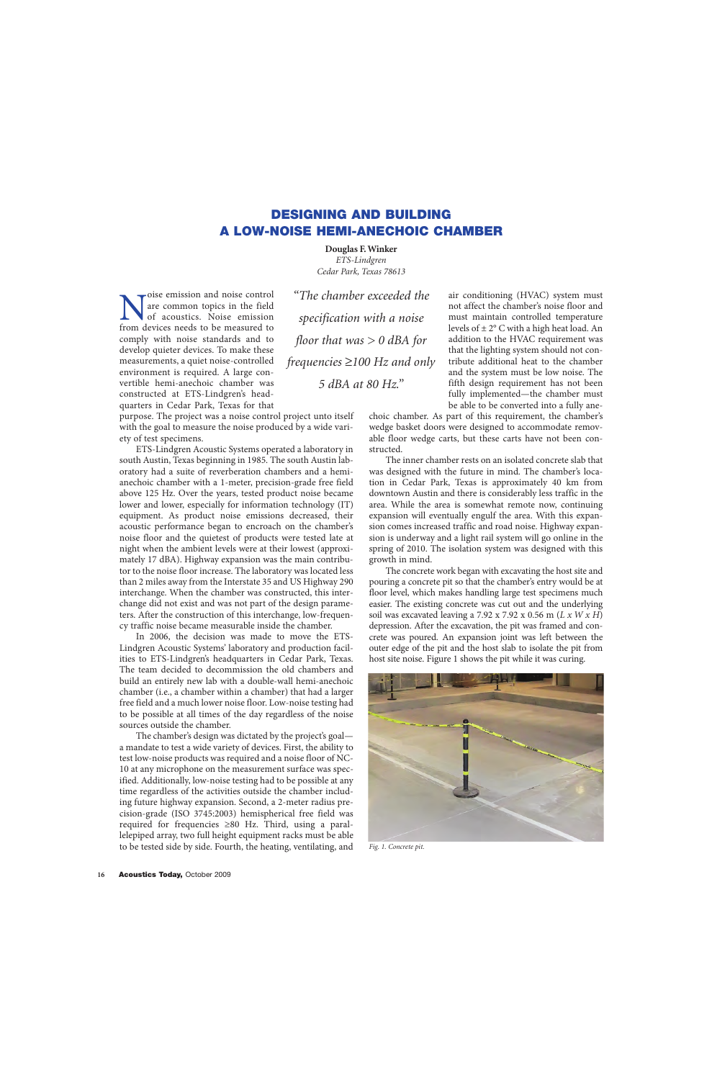## **DESIGNING AND BUILDING A LOW-NOISE HEMI-ANECHOIC CHAMBER**

**Douglas F. Winker** *ETS-Lindgren Cedar Park, Texas 78613*

Noise emission and noise control<br>of acoustics. Noise emission<br>from devices needs to be measured to are common topics in the field of acoustics. Noise emission comply with noise standards and to develop quieter devices. To make these measurements, a quiet noise-controlled environment is required. A large convertible hemi-anechoic chamber was constructed at ETS-Lindgren's headquarters in Cedar Park, Texas for that

purpose. The project was a noise control project unto itself with the goal to measure the noise produced by a wide vari-

ety of test specimens. ETS-Lindgren Acoustic Systems operated a laboratory in south Austin, Texas beginning in 1985. The south Austin laboratory had a suite of reverberation chambers and a hemianechoic chamber with a 1-meter, precision-grade free field above 125 Hz. Over the years, tested product noise became lower and lower, especially for information technology (IT) equipment. As product noise emissions decreased, their acoustic performance began to encroach on the chamber's noise floor and the quietest of products were tested late at night when the ambient levels were at their lowest (approximately 17 dBA). Highway expansion was the main contributor to the noise floor increase. The laboratory was located less than 2 miles away from the Interstate 35 and US Highway 290 interchange. When the chamber was constructed, this interchange did not exist and was not part of the design parameters. After the construction of this interchange, low-frequency traffic noise became measurable inside the chamber.

In 2006, the decision was made to move the ETS-Lindgren Acoustic Systems' laboratory and production facilities to ETS-Lindgren's headquarters in Cedar Park, Texas. The team decided to decommission the old chambers and build an entirely new lab with a double-wall hemi-anechoic chamber (i.e., a chamber within a chamber) that had a larger free field and a much lower noise floor. Low-noise testing had to be possible at all times of the day regardless of the noise sources outside the chamber.

The chamber's design was dictated by the project's goal a mandate to test a wide variety of devices. First, the ability to test low-noise products was required and a noise floor of NC-10 at any microphone on the measurement surface was specified. Additionally, low-noise testing had to be possible at any time regardless of the activities outside the chamber including future highway expansion. Second, a 2-meter radius precision-grade (ISO 3745:2003) hemispherical free field was required for frequencies ≥80 Hz. Third, using a parallelepiped array, two full height equipment racks must be able to be tested side by side. Fourth, the heating, ventilating, and

*"The chamber exceeded the specification with a noise floor that was > 0 dBA for frequencies* ≥*100 Hz and only 5 dBA at 80 Hz."*

air conditioning (HVAC) system must not affect the chamber's noise floor and must maintain controlled temperature levels of  $\pm 2^{\circ}$  C with a high heat load. An addition to the HVAC requirement was that the lighting system should not contribute additional heat to the chamber and the system must be low noise. The fifth design requirement has not been fully implemented—the chamber must be able to be converted into a fully ane-

choic chamber. As part of this requirement, the chamber's wedge basket doors were designed to accommodate removable floor wedge carts, but these carts have not been constructed.

The inner chamber rests on an isolated concrete slab that was designed with the future in mind. The chamber's location in Cedar Park, Texas is approximately 40 km from downtown Austin and there is considerably less traffic in the area. While the area is somewhat remote now, continuing expansion will eventually engulf the area. With this expansion comes increased traffic and road noise. Highway expansion is underway and a light rail system will go online in the spring of 2010. The isolation system was designed with this growth in mind.

The concrete work began with excavating the host site and pouring a concrete pit so that the chamber's entry would be at floor level, which makes handling large test specimens much easier. The existing concrete was cut out and the underlying soil was excavated leaving a 7.92 x 7.92 x 0.56 m (*L x W x H*) depression. After the excavation, the pit was framed and concrete was poured. An expansion joint was left between the outer edge of the pit and the host slab to isolate the pit from host site noise. Figure 1 shows the pit while it was curing.



*Fig. 1. Concrete pit.*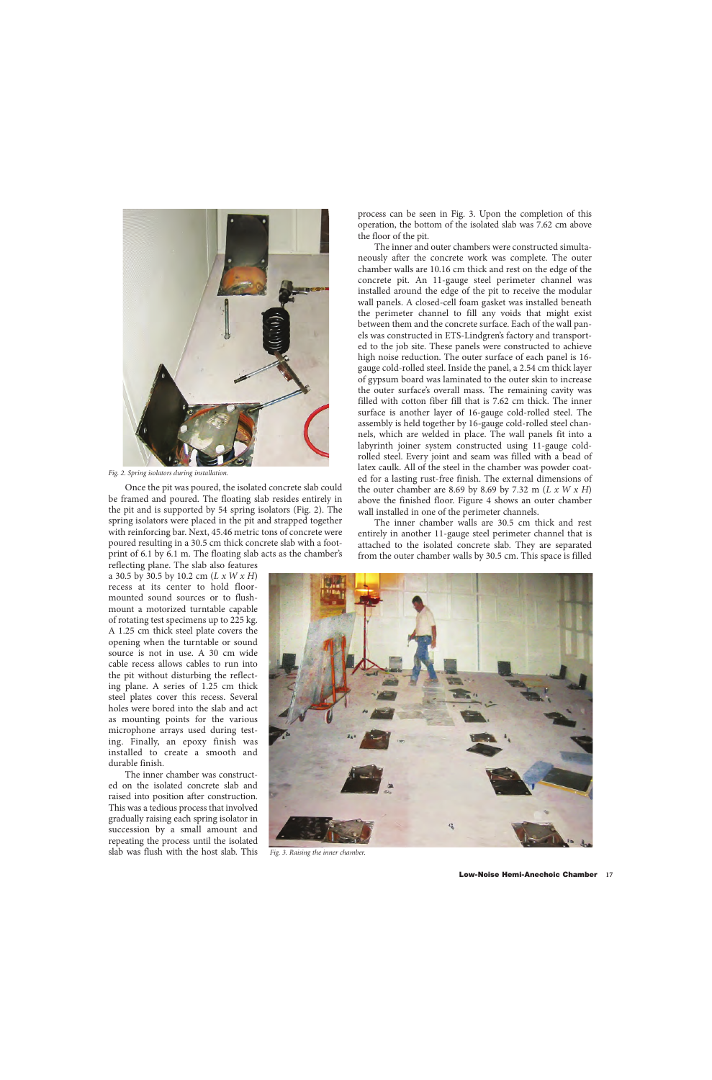

*Fig. 2. Spring isolators during installation.*

Once the pit was poured, the isolated concrete slab could be framed and poured. The floating slab resides entirely in the pit and is supported by 54 spring isolators (Fig. 2). The spring isolators were placed in the pit and strapped together with reinforcing bar. Next, 45.46 metric tons of concrete were poured resulting in a 30.5 cm thick concrete slab with a footprint of 6.1 by 6.1 m. The floating slab acts as the chamber's

reflecting plane. The slab also features a 30.5 by 30.5 by 10.2 cm (*L x W x H*) recess at its center to hold floormounted sound sources or to flushmount a motorized turntable capable of rotating test specimens up to 225 kg. A 1.25 cm thick steel plate covers the opening when the turntable or sound source is not in use. A 30 cm wide cable recess allows cables to run into the pit without disturbing the reflecting plane. A series of 1.25 cm thick steel plates cover this recess. Several holes were bored into the slab and act as mounting points for the various microphone arrays used during testing. Finally, an epoxy finish was installed to create a smooth and durable finish.

The inner chamber was constructed on the isolated concrete slab and raised into position after construction. This was a tedious process that involved gradually raising each spring isolator in succession by a small amount and repeating the process until the isolated slab was flush with the host slab. This

process can be seen in Fig. 3. Upon the completion of this operation, the bottom of the isolated slab was 7.62 cm above the floor of the pit.

The inner and outer chambers were constructed simultaneously after the concrete work was complete. The outer chamber walls are 10.16 cm thick and rest on the edge of the concrete pit. An 11-gauge steel perimeter channel was installed around the edge of the pit to receive the modular wall panels. A closed-cell foam gasket was installed beneath the perimeter channel to fill any voids that might exist between them and the concrete surface. Each of the wall panels was constructed in ETS-Lindgren's factory and transported to the job site. These panels were constructed to achieve high noise reduction. The outer surface of each panel is 16 gauge cold-rolled steel. Inside the panel, a 2.54 cm thick layer of gypsum board was laminated to the outer skin to increase the outer surface's overall mass. The remaining cavity was filled with cotton fiber fill that is 7.62 cm thick. The inner surface is another layer of 16-gauge cold-rolled steel. The assembly is held together by 16-gauge cold-rolled steel channels, which are welded in place. The wall panels fit into a labyrinth joiner system constructed using 11-gauge coldrolled steel. Every joint and seam was filled with a bead of latex caulk. All of the steel in the chamber was powder coated for a lasting rust-free finish. The external dimensions of the outer chamber are 8.69 by 8.69 by 7.32 m (*L x W x H*) above the finished floor. Figure 4 shows an outer chamber wall installed in one of the perimeter channels.

The inner chamber walls are 30.5 cm thick and rest entirely in another 11-gauge steel perimeter channel that is attached to the isolated concrete slab. They are separated from the outer chamber walls by 30.5 cm. This space is filled



*Fig. 3. Raising the inner chamber.*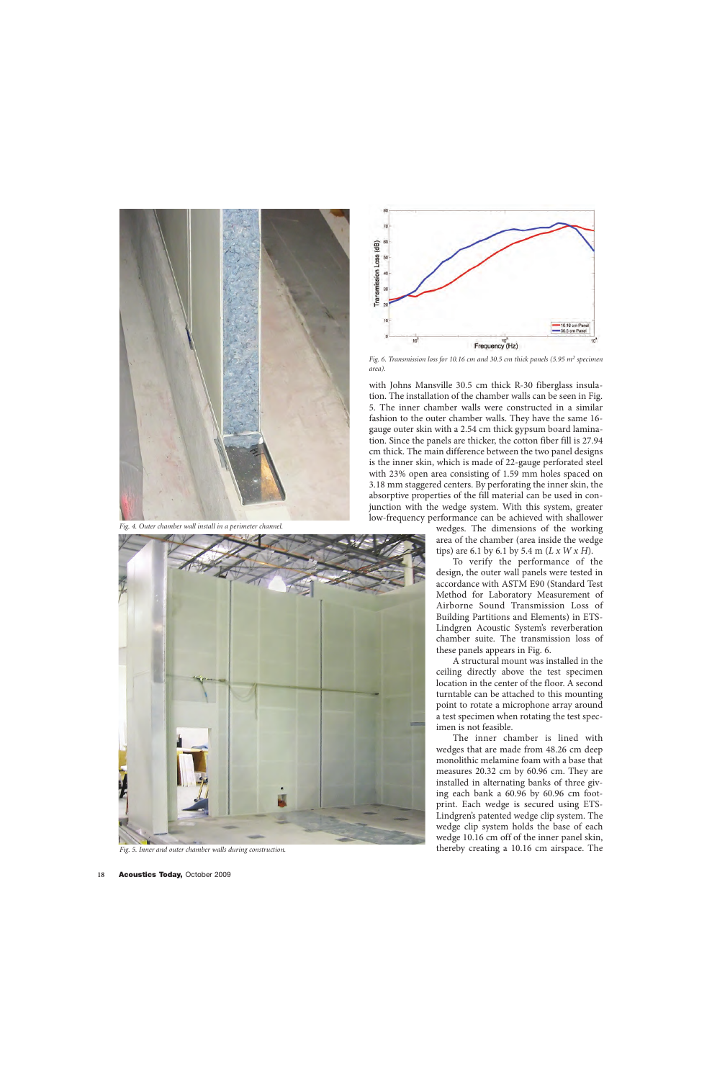

*Fig. 4. Outer chamber wall install in a perimeter channel.*





*Fig. 6. Transmission loss for 10.16 cm and 30.5 cm thick panels (5.95 m2 specimen area).*

with Johns Mansville 30.5 cm thick R-30 fiberglass insulation. The installation of the chamber walls can be seen in Fig. 5. The inner chamber walls were constructed in a similar fashion to the outer chamber walls. They have the same 16 gauge outer skin with a 2.54 cm thick gypsum board lamination. Since the panels are thicker, the cotton fiber fill is 27.94 cm thick. The main difference between the two panel designs is the inner skin, which is made of 22-gauge perforated steel with 23% open area consisting of 1.59 mm holes spaced on 3.18 mm staggered centers. By perforating the inner skin, the absorptive properties of the fill material can be used in conjunction with the wedge system. With this system, greater low-frequency performance can be achieved with shallower

> wedges. The dimensions of the working area of the chamber (area inside the wedge tips) are 6.1 by 6.1 by 5.4 m (*L x W x H*).

> To verify the performance of the design, the outer wall panels were tested in accordance with ASTM E90 (Standard Test Method for Laboratory Measurement of Airborne Sound Transmission Loss of Building Partitions and Elements) in ETS-Lindgren Acoustic System's reverberation chamber suite. The transmission loss of these panels appears in Fig. 6.

> A structural mount was installed in the ceiling directly above the test specimen location in the center of the floor. A second turntable can be attached to this mounting point to rotate a microphone array around a test specimen when rotating the test specimen is not feasible.

The inner chamber is lined with wedges that are made from 48.26 cm deep monolithic melamine foam with a base that measures 20.32 cm by 60.96 cm. They are installed in alternating banks of three giving each bank a 60.96 by 60.96 cm footprint. Each wedge is secured using ETS-Lindgren's patented wedge clip system. The wedge clip system holds the base of each wedge 10.16 cm off of the inner panel skin, *Fig. 5. Inner and outer chamber walls during construction.* thereby creating a 10.16 cm airspace. The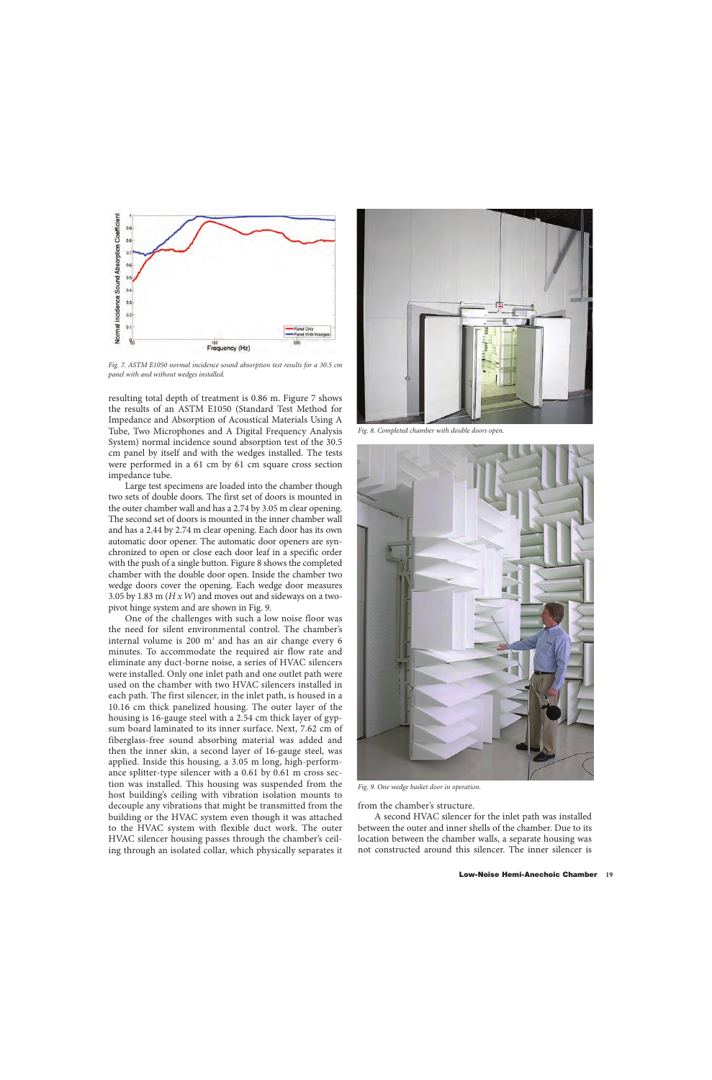

*Fig. 7. ASTM E1050 normal incidence sound absorption test results for a 30.5 cm panel with and without wedges installed.*

resulting total depth of treatment is 0.86 m. Figure 7 shows the results of an ASTM E1050 (Standard Test Method for Impedance and Absorption of Acoustical Materials Using A Tube, Two Microphones and A Digital Frequency Analysis System) normal incidence sound absorption test of the 30.5 cm panel by itself and with the wedges installed. The tests were performed in a 61 cm by 61 cm square cross section impedance tube.

Large test specimens are loaded into the chamber though two sets of double doors. The first set of doors is mounted in the outer chamber wall and has a 2.74 by 3.05 m clear opening. The second set of doors is mounted in the inner chamber wall and has a 2.44 by 2.74 m clear opening. Each door has its own automatic door opener. The automatic door openers are synchronized to open or close each door leaf in a specific order with the push of a single button. Figure 8 shows the completed chamber with the double door open. Inside the chamber two wedge doors cover the opening. Each wedge door measures 3.05 by 1.83 m (*H x W*) and moves out and sideways on a twopivot hinge system and are shown in Fig. 9.

One of the challenges with such a low noise floor was the need for silent environmental control. The chamber's internal volume is  $200 \text{ m}^3$  and has an air change every 6 minutes. To accommodate the required air flow rate and eliminate any duct-borne noise, a series of HVAC silencers were installed. Only one inlet path and one outlet path were used on the chamber with two HVAC silencers installed in each path. The first silencer, in the inlet path, is housed in a 10.16 cm thick panelized housing. The outer layer of the housing is 16-gauge steel with a 2.54 cm thick layer of gypsum board laminated to its inner surface. Next, 7.62 cm of fiberglass-free sound absorbing material was added and then the inner skin, a second layer of 16-gauge steel, was applied. Inside this housing, a 3.05 m long, high-performance splitter-type silencer with a 0.61 by 0.61 m cross section was installed. This housing was suspended from the host building's ceiling with vibration isolation mounts to decouple any vibrations that might be transmitted from the building or the HVAC system even though it was attached to the HVAC system with flexible duct work. The outer HVAC silencer housing passes through the chamber's ceiling through an isolated collar, which physically separates it



*Fig. 8. Completed chamber with double doors open.*



*Fig. 9. One wedge basket door in operation.*

from the chamber's structure.

A second HVAC silencer for the inlet path was installed between the outer and inner shells of the chamber. Due to its location between the chamber walls, a separate housing was not constructed around this silencer. The inner silencer is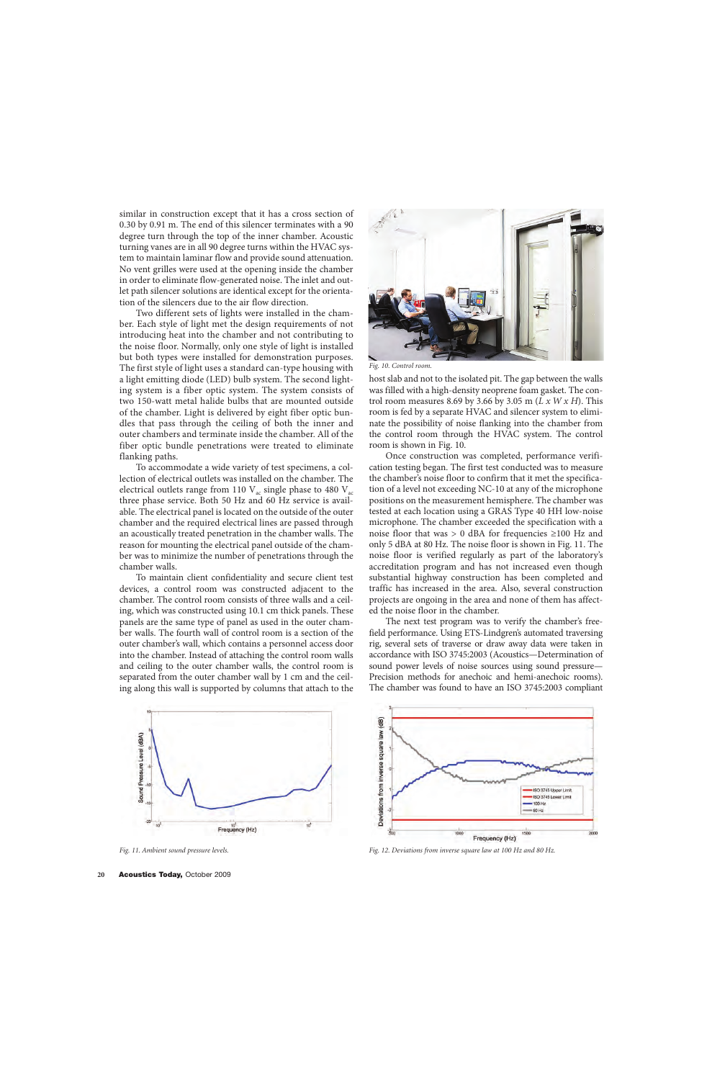similar in construction except that it has a cross section of 0.30 by 0.91 m. The end of this silencer terminates with a 90 degree turn through the top of the inner chamber. Acoustic turning vanes are in all 90 degree turns within the HVAC system to maintain laminar flow and provide sound attenuation. No vent grilles were used at the opening inside the chamber in order to eliminate flow-generated noise. The inlet and outlet path silencer solutions are identical except for the orientation of the silencers due to the air flow direction.

Two different sets of lights were installed in the chamber. Each style of light met the design requirements of not introducing heat into the chamber and not contributing to the noise floor. Normally, only one style of light is installed but both types were installed for demonstration purposes. The first style of light uses a standard can-type housing with a light emitting diode (LED) bulb system. The second lighting system is a fiber optic system. The system consists of two 150-watt metal halide bulbs that are mounted outside of the chamber. Light is delivered by eight fiber optic bundles that pass through the ceiling of both the inner and outer chambers and terminate inside the chamber. All of the fiber optic bundle penetrations were treated to eliminate flanking paths.

To accommodate a wide variety of test specimens, a collection of electrical outlets was installed on the chamber. The electrical outlets range from 110  $V_{ac}$  single phase to 480  $V_{ac}$ three phase service. Both 50 Hz and 60 Hz service is available. The electrical panel is located on the outside of the outer chamber and the required electrical lines are passed through an acoustically treated penetration in the chamber walls. The reason for mounting the electrical panel outside of the chamber was to minimize the number of penetrations through the chamber walls.

To maintain client confidentiality and secure client test devices, a control room was constructed adjacent to the chamber. The control room consists of three walls and a ceiling, which was constructed using 10.1 cm thick panels. These panels are the same type of panel as used in the outer chamber walls. The fourth wall of control room is a section of the outer chamber's wall, which contains a personnel access door into the chamber. Instead of attaching the control room walls and ceiling to the outer chamber walls, the control room is separated from the outer chamber wall by 1 cm and the ceiling along this wall is supported by columns that attach to the



*Fig. 10. Control room.* 

host slab and not to the isolated pit. The gap between the walls was filled with a high-density neoprene foam gasket. The control room measures 8.69 by 3.66 by 3.05 m (*L x W x H*). This room is fed by a separate HVAC and silencer system to eliminate the possibility of noise flanking into the chamber from the control room through the HVAC system. The control room is shown in Fig. 10.

Once construction was completed, performance verification testing began. The first test conducted was to measure the chamber's noise floor to confirm that it met the specification of a level not exceeding NC-10 at any of the microphone positions on the measurement hemisphere. The chamber was tested at each location using a GRAS Type 40 HH low-noise microphone. The chamber exceeded the specification with a noise floor that was > 0 dBA for frequencies ≥100 Hz and only 5 dBA at 80 Hz. The noise floor is shown in Fig. 11. The noise floor is verified regularly as part of the laboratory's accreditation program and has not increased even though substantial highway construction has been completed and traffic has increased in the area. Also, several construction projects are ongoing in the area and none of them has affected the noise floor in the chamber.

The next test program was to verify the chamber's freefield performance. Using ETS-Lindgren's automated traversing rig, several sets of traverse or draw away data were taken in accordance with ISO 3745:2003 (Acoustics—Determination of sound power levels of noise sources using sound pressure— Precision methods for anechoic and hemi-anechoic rooms). The chamber was found to have an ISO 3745:2003 compliant



Deviations from inverse square law (dB) ISO 3745 Upper Limit ISO 3745 Lower Limit 100 Hz 80 Hz  $1500$ 2000 Frequency (Hz)

*Fig. 11. Ambient sound pressure levels. Fig. 12. Deviations from inverse square law at 100 Hz and 80 Hz.*